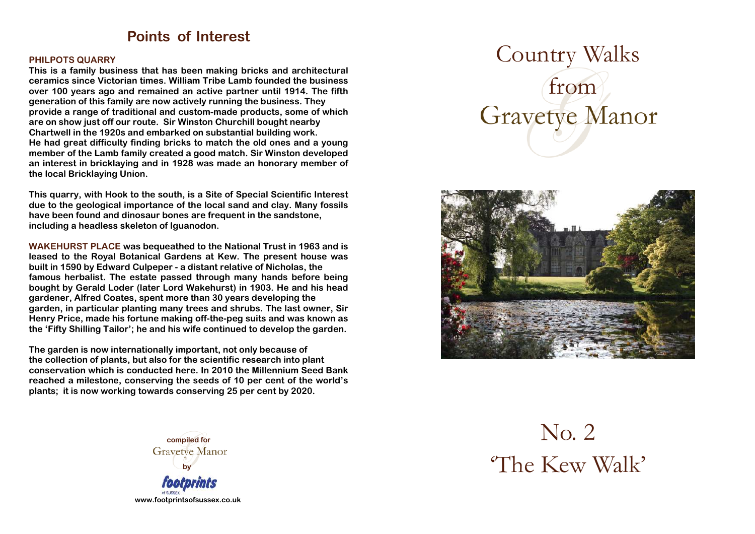### **Points of Interest**

#### **PHILPOTS QUARRY**

**This is a family business that has been making bricks and architectural ceramics since Victorian times. William Tribe Lamb founded the business over 100 years ago and remained an active partner until 1914. The fifth generation of this family are now actively running the business. They provide a range of traditional and custom-made products, some of which are on show just off our route. Sir Winston Churchill bought nearby Chartwell in the 1920s and embarked on substantial building work. He had great difficulty finding bricks to match the old ones and a young member of the Lamb family created a good match. Sir Winston developed an interest in bricklaying and in 1928 was made an honorary member of the local Bricklaying Union.** 

**This quarry, with Hook to the south, is a Site of Special Scientific Interest due to the geological importance of the local sand and clay. Many fossils have been found and dinosaur bones are frequent in the sandstone, including a headless skeleton of Iguanodon.** 

**WAKEHURST PLACE was bequeathed to the National Trust in 1963 and is leased to the Royal Botanical Gardens at Kew. The present house was built in 1590 by Edward Culpeper - a distant relative of Nicholas, the famous herbalist. The estate passed through many hands before being bought by Gerald Loder (later Lord Wakehurst) in 1903. He and his head gardener, Alfred Coates, spent more than 30 years developing the garden, in particular planting many trees and shrubs. The last owner, Sir Henry Price, made his fortune making off-the-peg suits and was known as the 'Fifty Shilling Tailor'; he and his wife continued to develop the garden.** 

**The garden is now internationally important, not only because of the collection of plants, but also for the scientific research into plant conservation which is conducted here. In 2010 the Millennium Seed Bank reached a milestone, conserving the seeds of 10 per cent of the world's plants; it is now working towards conserving 25 per cent by 2020.** 



# Country Walks from **Gravetye Manor**



No. 2 'The Kew Walk'